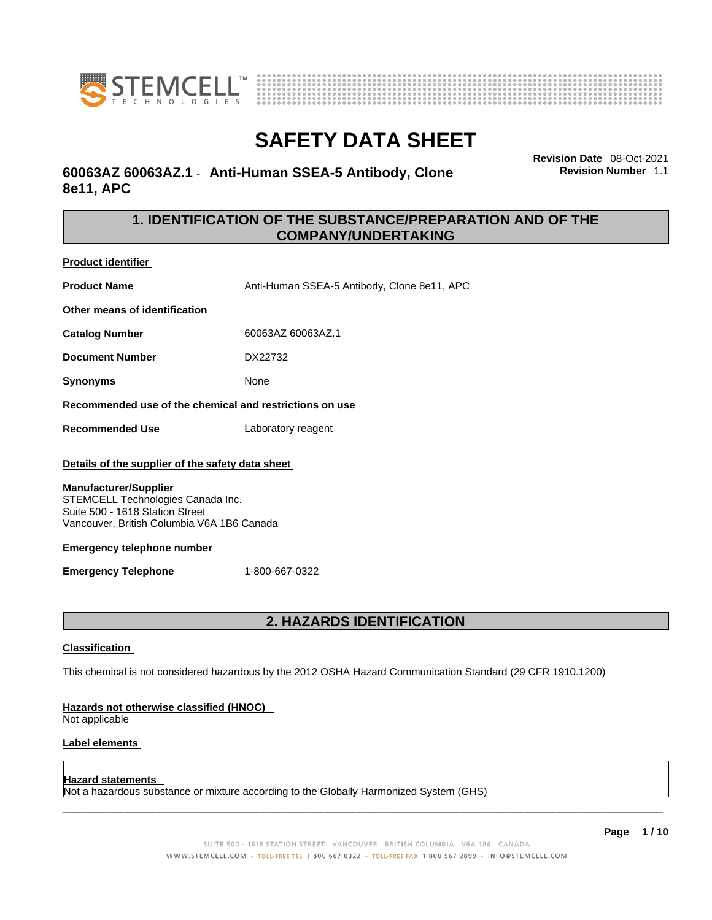



### **60063AZ 60063AZ.1** - **Anti-Human SSEA-5 Antibody, Clone 8e11, APC**

**Revision Date** 08-Oct-2021 **Revision Number** 1.1

### **1. IDENTIFICATION OF THE SUBSTANCE/PREPARATION AND OF THE COMPANY/UNDERTAKING**

**Product identifier**

**Product Name Anti-Human SSEA-5 Antibody, Clone 8e11, APC** 

**Other means of identification**

**Catalog Number** 60063AZ 60063AZ.1

**Document Number** DX22732

**Synonyms** None

**Recommended use of the chemical and restrictions on use**

**Recommended Use** Laboratory reagent

### **Details of the supplier of the safety data sheet**

### **Manufacturer/Supplier**

STEMCELL Technologies Canada Inc. Suite 500 - 1618 Station Street Vancouver, British Columbia V6A 1B6 Canada

### **Emergency telephone number**

**Emergency Telephone** 1-800-667-0322

### **2. HAZARDS IDENTIFICATION**

### **Classification**

This chemical is not considered hazardous by the 2012 OSHA Hazard Communication Standard (29 CFR 1910.1200)

### **Hazards not otherwise classified (HNOC)**

Not applicable

### **Label elements**

### **Hazard statements**

Not a hazardous substance or mixture according to the Globally Harmonized System (GHS)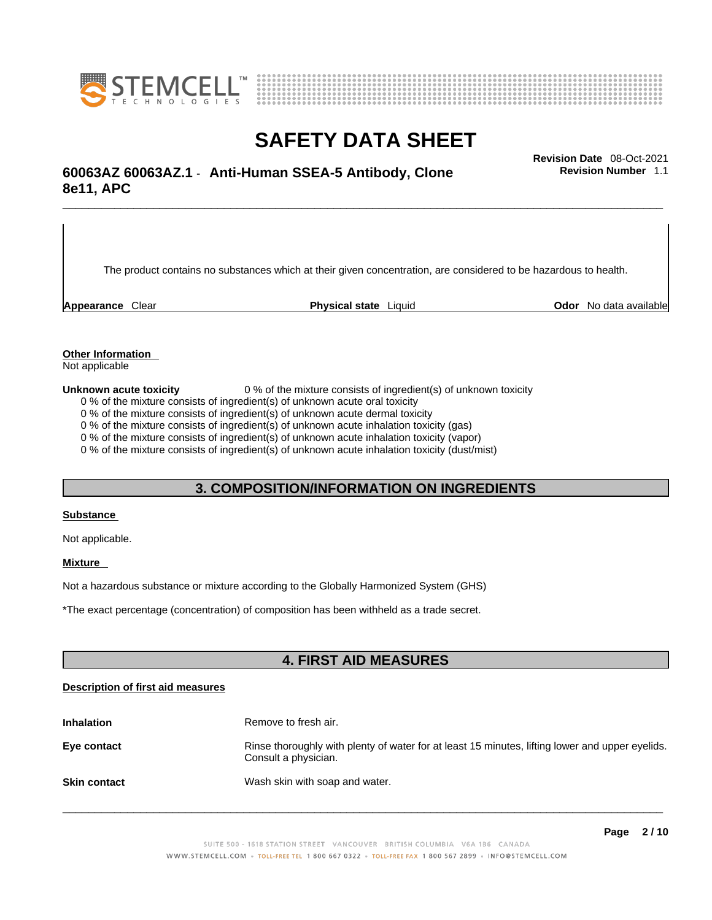



## \_\_\_\_\_\_\_\_\_\_\_\_\_\_\_\_\_\_\_\_\_\_\_\_\_\_\_\_\_\_\_\_\_\_\_\_\_\_\_\_\_\_\_\_\_\_\_\_\_\_\_\_\_\_\_\_\_\_\_\_\_\_\_\_\_\_\_\_\_\_\_\_\_\_\_\_\_\_\_\_\_\_\_\_\_\_\_\_\_\_\_\_\_ **Revision Date** 08-Oct-2021 **60063AZ 60063AZ.1** - **Anti-Human SSEA-5 Antibody, Clone 8e11, APC**

The product contains no substances which at their given concentration, are considered to be hazardous to health.

**Appearance** Clear **Physical state** Liquid **Odor** No data available

**Revision Number** 1.1

**Other Information** 

Not applicable

**Unknown acute toxicity** 0 % of the mixture consists of ingredient(s) of unknown toxicity

0 % of the mixture consists of ingredient(s) of unknown acute oral toxicity

0 % of the mixture consists of ingredient(s) of unknown acute dermal toxicity

0 % of the mixture consists of ingredient(s) of unknown acute inhalation toxicity (gas)

0 % of the mixture consists of ingredient(s) of unknown acute inhalation toxicity (vapor)

0 % of the mixture consists of ingredient(s) of unknown acute inhalation toxicity (dust/mist)

### **3. COMPOSITION/INFORMATION ON INGREDIENTS**

### **Substance**

Not applicable.

### **Mixture**

Not a hazardous substance or mixture according to the Globally Harmonized System (GHS)

\*The exact percentage (concentration) ofcomposition has been withheld as a trade secret.

### **4. FIRST AID MEASURES**

### **Description of first aid measures**

| <b>Inhalation</b>   | Remove to fresh air.                                                                                                    |
|---------------------|-------------------------------------------------------------------------------------------------------------------------|
| Eye contact         | Rinse thoroughly with plenty of water for at least 15 minutes, lifting lower and upper eyelids.<br>Consult a physician. |
| <b>Skin contact</b> | Wash skin with soap and water.                                                                                          |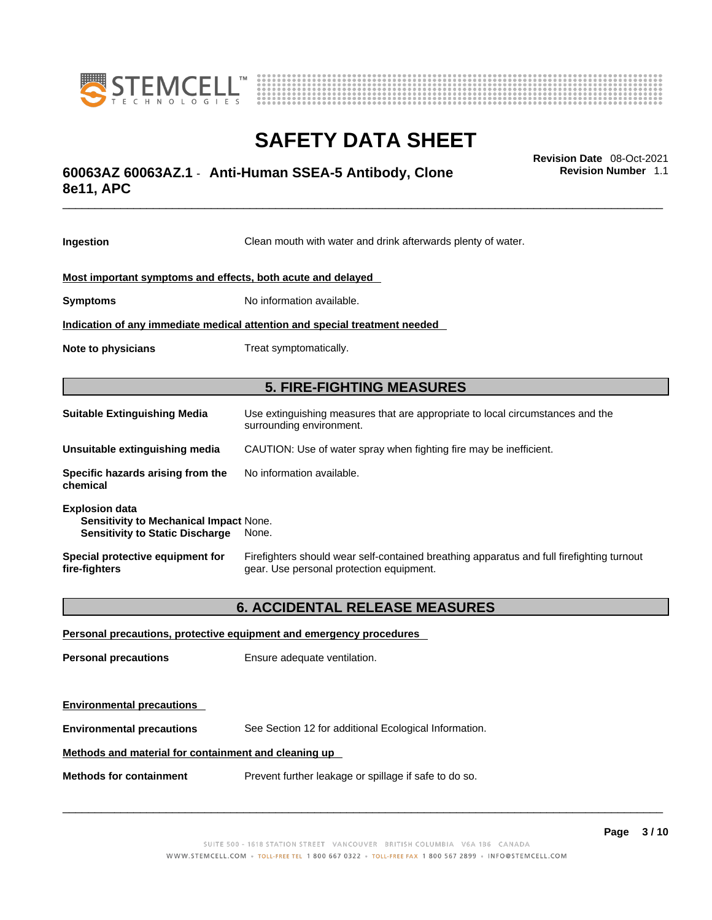



## \_\_\_\_\_\_\_\_\_\_\_\_\_\_\_\_\_\_\_\_\_\_\_\_\_\_\_\_\_\_\_\_\_\_\_\_\_\_\_\_\_\_\_\_\_\_\_\_\_\_\_\_\_\_\_\_\_\_\_\_\_\_\_\_\_\_\_\_\_\_\_\_\_\_\_\_\_\_\_\_\_\_\_\_\_\_\_\_\_\_\_\_\_ **Revision Date** 08-Oct-2021 **60063AZ 60063AZ.1** - **Anti-Human SSEA-5 Antibody, Clone 8e11, APC**

**Ingestion** Clean mouth with water and drink afterwards plenty of water. **Most important symptoms and effects, both acute and delayed Symptoms** No information available. **Indication of any immediate medical attention and special treatment needed Note to physicians** Treat symptomatically. **5. FIRE-FIGHTING MEASURES Suitable Extinguishing Media** Use extinguishing measures that are appropriate to local circumstances and the surrounding environment. **Unsuitable extinguishing media** CAUTION: Use of water spray when fighting fire may be inefficient. **Specific hazards arising from the chemical** No information available. **Explosion data Sensitivity to Mechanical Impact** None. **Sensitivity to Static Discharge** None. **Special protective equipment for fire-fighters** Firefighters should wear self-contained breathing apparatus and full firefighting turnout gear. Use personal protection equipment.

### **6. ACCIDENTAL RELEASE MEASURES**

| Personal precautions, protective equipment and emergency procedures |                                                       |  |
|---------------------------------------------------------------------|-------------------------------------------------------|--|
| <b>Personal precautions</b>                                         | Ensure adequate ventilation.                          |  |
| <b>Environmental precautions</b>                                    |                                                       |  |
| <b>Environmental precautions</b>                                    | See Section 12 for additional Ecological Information. |  |
| Methods and material for containment and cleaning up                |                                                       |  |
| <b>Methods for containment</b>                                      | Prevent further leakage or spillage if safe to do so. |  |

 $\_$  ,  $\_$  ,  $\_$  ,  $\_$  ,  $\_$  ,  $\_$  ,  $\_$  ,  $\_$  ,  $\_$  ,  $\_$  ,  $\_$  ,  $\_$  ,  $\_$  ,  $\_$  ,  $\_$  ,  $\_$  ,  $\_$  ,  $\_$  ,  $\_$  ,  $\_$  ,  $\_$  ,  $\_$  ,  $\_$  ,  $\_$  ,  $\_$  ,  $\_$  ,  $\_$  ,  $\_$  ,  $\_$  ,  $\_$  ,  $\_$  ,  $\_$  ,  $\_$  ,  $\_$  ,  $\_$  ,  $\_$  ,  $\_$  ,

**Revision Number** 1.1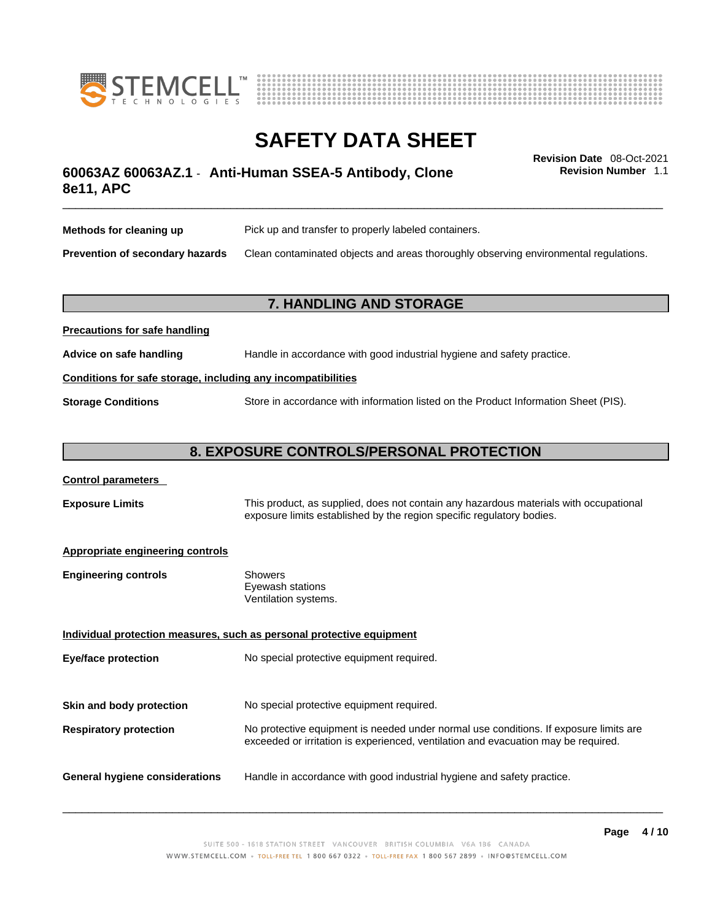



**Revision Number** 1.1

## \_\_\_\_\_\_\_\_\_\_\_\_\_\_\_\_\_\_\_\_\_\_\_\_\_\_\_\_\_\_\_\_\_\_\_\_\_\_\_\_\_\_\_\_\_\_\_\_\_\_\_\_\_\_\_\_\_\_\_\_\_\_\_\_\_\_\_\_\_\_\_\_\_\_\_\_\_\_\_\_\_\_\_\_\_\_\_\_\_\_\_\_\_ **Revision Date** 08-Oct-2021 **60063AZ 60063AZ.1** - **Anti-Human SSEA-5 Antibody, Clone 8e11, APC**

| Methods for cleaning up                | Pick up and transfer to properly labeled containers.                                 |
|----------------------------------------|--------------------------------------------------------------------------------------|
| <b>Prevention of secondary hazards</b> | Clean contaminated objects and areas thoroughly observing environmental regulations. |

### **7. HANDLING AND STORAGE**

| <b>I</b> recaduotis for safe handling                        |                                                                                     |  |
|--------------------------------------------------------------|-------------------------------------------------------------------------------------|--|
| Advice on safe handling                                      | Handle in accordance with good industrial hygiene and safety practice.              |  |
| Conditions for safe storage, including any incompatibilities |                                                                                     |  |
| <b>Storage Conditions</b>                                    | Store in accordance with information listed on the Product Information Sheet (PIS). |  |

### **8. EXPOSURE CONTROLS/PERSONAL PROTECTION**

### **Control parameters**

**Precautions for safe handling**

**Exposure Limits** This product, as supplied, does not contain any hazardous materials with occupational exposure limits established by the region specific regulatory bodies.

### **Appropriate engineering controls**

| <b>Engineering controls</b> | Showers              |
|-----------------------------|----------------------|
|                             | Eyewash stations     |
|                             | Ventilation systems. |

**Individual protection measures, such as personal protective equipment Eye/face protection** No special protective equipment required. **Skin and body protection** No special protective equipment required. **Respiratory protection** No protective equipment is needed under normal use conditions. If exposure limits are exceeded or irritation is experienced, ventilation and evacuation may be required. **General hygiene considerations** Handle in accordance with good industrial hygiene and safety practice.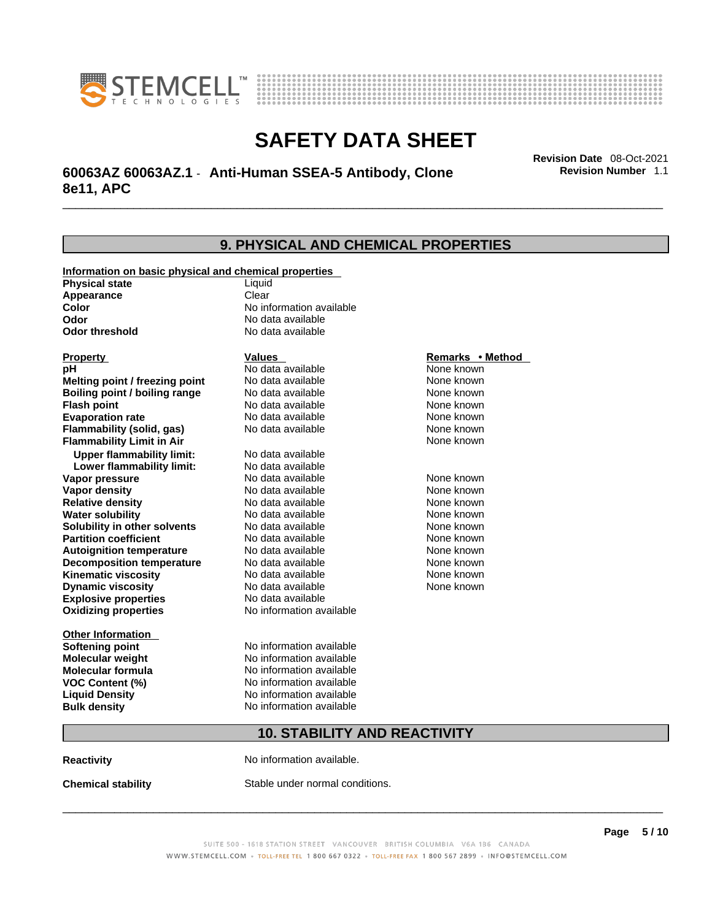



## \_\_\_\_\_\_\_\_\_\_\_\_\_\_\_\_\_\_\_\_\_\_\_\_\_\_\_\_\_\_\_\_\_\_\_\_\_\_\_\_\_\_\_\_\_\_\_\_\_\_\_\_\_\_\_\_\_\_\_\_\_\_\_\_\_\_\_\_\_\_\_\_\_\_\_\_\_\_\_\_\_\_\_\_\_\_\_\_\_\_\_\_\_ **Revision Date** 08-Oct-2021 **60063AZ 60063AZ.1** - **Anti-Human SSEA-5 Antibody, Clone 8e11, APC**

**9. PHYSICAL AND CHEMICAL PROPERTIES Information on basic physical and chemical properties Physical state** Liquid **Appearance** Clear<br> **Color** No int **Color Color Color Color Color Color Color No** data available **Odor Odor No data available**<br> **Odor threshold No data available No data available Explosive properties** No data available **Oxidizing properties** No information available **Other Information Softening point** No information available **Molecular weight** No information available **Molecular formula** No information available<br>**VOC Content (%)** No information available **VOC** Content (%) **Liquid Density** No information available **Bulk density No information available 10. STABILITY AND REACTIVITY Property CONSCRUTE IN THE VALUES REMARKS • Method pH** No data available None known **Melting point / freezing point Boiling point / boiling range Modata available None known Flash point Communist Communist Communist Communist Communist Communist Communist Communist Communist Communist Communist Communist Communist Communist Communist Communist Communist Communist Communist Communist Communi Evaporation rate Configure 1 Accord None Configure 1 Accord None known**<br> **Elammability (solid. gas)** No data available **None known** None known **Flammability (solid, gas)** No data available None known **Flammability Limit in Air None known None known Upper flammability limit:** No data available **Lower flammability limit:** No data available **Vapor pressure No data available None known Vapor density Notata available None known Relative density No data available None known Water solubility No data available Mone known**<br> **Solubility in other solvents** No data available None known None known **Solubility in other solvents** No data available **None known**<br> **Partition coefficient** No data available **None known**<br>
None known **Partition coefficient**<br>**Autoignition temperature** No data available **Autoignition temperature No data available None known**<br> **Decomposition temperature** No data available **None known**<br>
None known **Decomposition temperature** No data available None known<br> **Kinematic viscosity** No data available None known **Kinematic viscosity** No data available<br> **Dynamic viscosity** No data available **Dynamic viscosity** None known

**Reactivity No information available.** 

**Chemical stability** Stable under normal conditions.

 $\_$  ,  $\_$  ,  $\_$  ,  $\_$  ,  $\_$  ,  $\_$  ,  $\_$  ,  $\_$  ,  $\_$  ,  $\_$  ,  $\_$  ,  $\_$  ,  $\_$  ,  $\_$  ,  $\_$  ,  $\_$  ,  $\_$  ,  $\_$  ,  $\_$  ,  $\_$  ,  $\_$  ,  $\_$  ,  $\_$  ,  $\_$  ,  $\_$  ,  $\_$  ,  $\_$  ,  $\_$  ,  $\_$  ,  $\_$  ,  $\_$  ,  $\_$  ,  $\_$  ,  $\_$  ,  $\_$  ,  $\_$  ,  $\_$  ,

**Revision Number** 1.1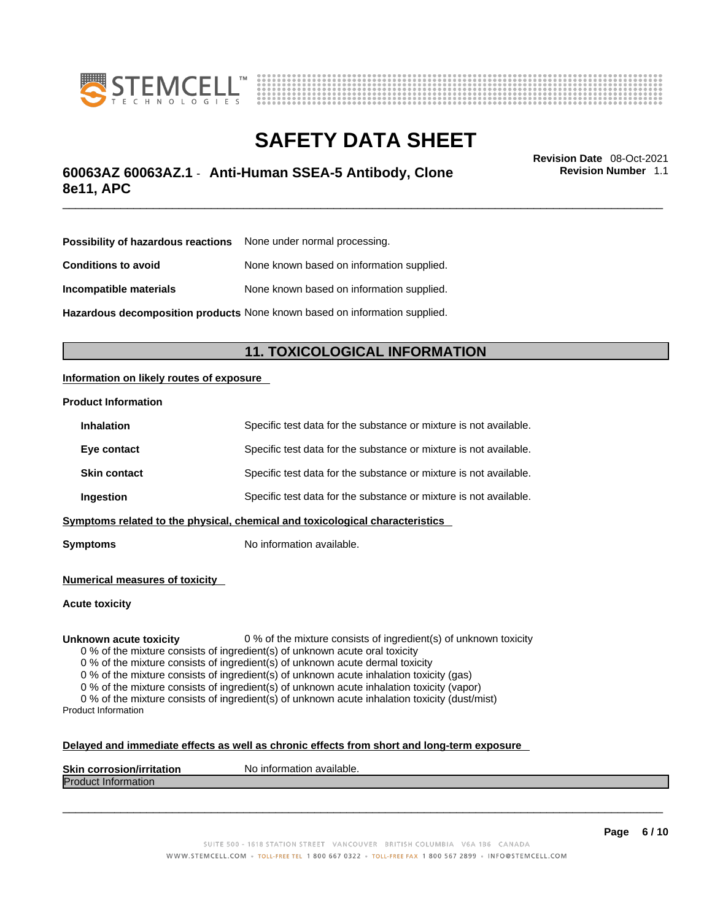



## \_\_\_\_\_\_\_\_\_\_\_\_\_\_\_\_\_\_\_\_\_\_\_\_\_\_\_\_\_\_\_\_\_\_\_\_\_\_\_\_\_\_\_\_\_\_\_\_\_\_\_\_\_\_\_\_\_\_\_\_\_\_\_\_\_\_\_\_\_\_\_\_\_\_\_\_\_\_\_\_\_\_\_\_\_\_\_\_\_\_\_\_\_ **Revision Date** 08-Oct-2021 **60063AZ 60063AZ.1** - **Anti-Human SSEA-5 Antibody, Clone 8e11, APC**

**Revision Number** 1.1

| <b>Possibility of hazardous reactions</b> None under normal processing.    |                                           |  |
|----------------------------------------------------------------------------|-------------------------------------------|--|
| <b>Conditions to avoid</b>                                                 | None known based on information supplied. |  |
| Incompatible materials                                                     | None known based on information supplied. |  |
| Hazardous decomposition products None known based on information supplied. |                                           |  |

### **11. TOXICOLOGICAL INFORMATION**

### **Information on likely routes of exposure**

#### **Product Information**

| <b>Inhalation</b>                                                              | Specific test data for the substance or mixture is not available. |  |
|--------------------------------------------------------------------------------|-------------------------------------------------------------------|--|
| Eye contact                                                                    | Specific test data for the substance or mixture is not available. |  |
| <b>Skin contact</b>                                                            | Specific test data for the substance or mixture is not available. |  |
| Specific test data for the substance or mixture is not available.<br>Ingestion |                                                                   |  |
| Symptoms related to the physical, chemical and toxicological characteristics   |                                                                   |  |

**Symptoms** No information available.

**Numerical measures of toxicity**

**Acute toxicity**

**Unknown acute toxicity** 0 % of the mixture consists of ingredient(s) of unknown toxicity

0 % of the mixture consists of ingredient(s) of unknown acute oral toxicity

0 % of the mixture consists of ingredient(s) of unknown acute dermal toxicity

0 % of the mixture consists of ingredient(s) of unknown acute inhalation toxicity (gas)

0 % of the mixture consists of ingredient(s) of unknown acute inhalation toxicity (vapor)

0 % of the mixture consists of ingredient(s) of unknown acute inhalation toxicity (dust/mist) Product Information

#### **Delayed and immediate effects as well as chronic effects from short and long-term exposure**

| <b>Skin corrosior</b><br>ion/irritation | `available.<br>No inforn<br>nation |
|-----------------------------------------|------------------------------------|
| Produc<br><b>Information</b>            |                                    |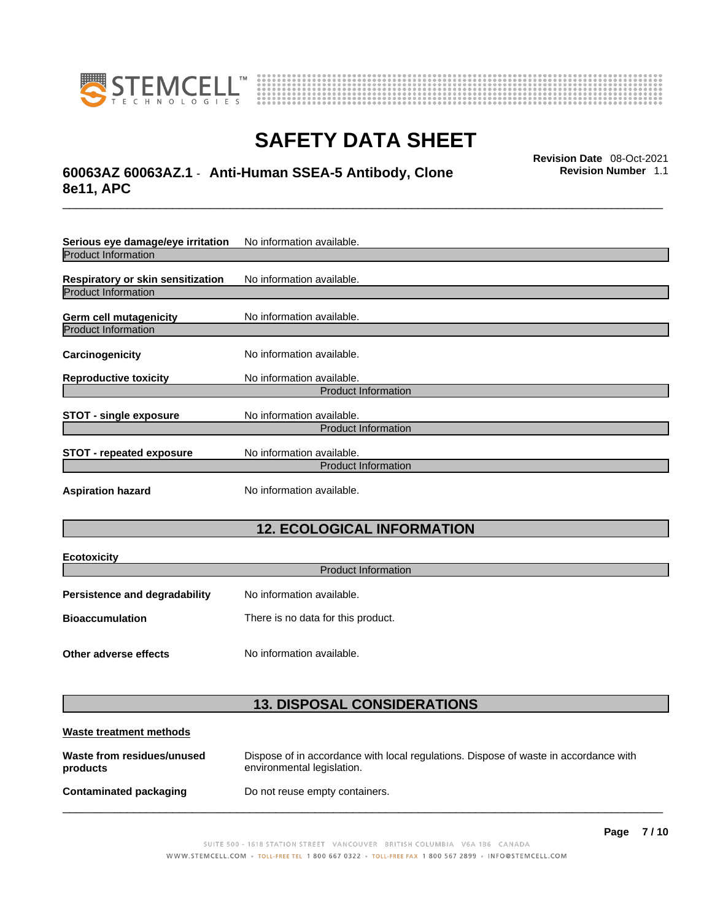



## \_\_\_\_\_\_\_\_\_\_\_\_\_\_\_\_\_\_\_\_\_\_\_\_\_\_\_\_\_\_\_\_\_\_\_\_\_\_\_\_\_\_\_\_\_\_\_\_\_\_\_\_\_\_\_\_\_\_\_\_\_\_\_\_\_\_\_\_\_\_\_\_\_\_\_\_\_\_\_\_\_\_\_\_\_\_\_\_\_\_\_\_\_ **Revision Date** 08-Oct-2021 **60063AZ 60063AZ.1** - **Anti-Human SSEA-5 Antibody, Clone 8e11, APC**

**Revision Number** 1.1

| Serious eye damage/eye irritation | No information available.  |  |  |
|-----------------------------------|----------------------------|--|--|
| <b>Product Information</b>        |                            |  |  |
| Respiratory or skin sensitization | No information available.  |  |  |
| <b>Product Information</b>        |                            |  |  |
| Germ cell mutagenicity            | No information available.  |  |  |
| <b>Product Information</b>        |                            |  |  |
| Carcinogenicity                   | No information available.  |  |  |
| <b>Reproductive toxicity</b>      | No information available.  |  |  |
| <b>Product Information</b>        |                            |  |  |
| <b>STOT - single exposure</b>     | No information available.  |  |  |
|                                   | <b>Product Information</b> |  |  |
| <b>STOT - repeated exposure</b>   | No information available.  |  |  |
| <b>Product Information</b>        |                            |  |  |
| <b>Aspiration hazard</b>          | No information available.  |  |  |

### **12. ECOLOGICAL INFORMATION**

| <b>Ecotoxicity</b>                   |                                    |  |
|--------------------------------------|------------------------------------|--|
| <b>Product Information</b>           |                                    |  |
| <b>Persistence and degradability</b> | No information available.          |  |
| <b>Bioaccumulation</b>               | There is no data for this product. |  |
| Other adverse effects                | No information available.          |  |

### **13. DISPOSAL CONSIDERATIONS**

| Waste treatment methods                |                                                                                                                    |  |
|----------------------------------------|--------------------------------------------------------------------------------------------------------------------|--|
| Waste from residues/unused<br>products | Dispose of in accordance with local regulations. Dispose of waste in accordance with<br>environmental legislation. |  |
| Contaminated packaging                 | Do not reuse empty containers.                                                                                     |  |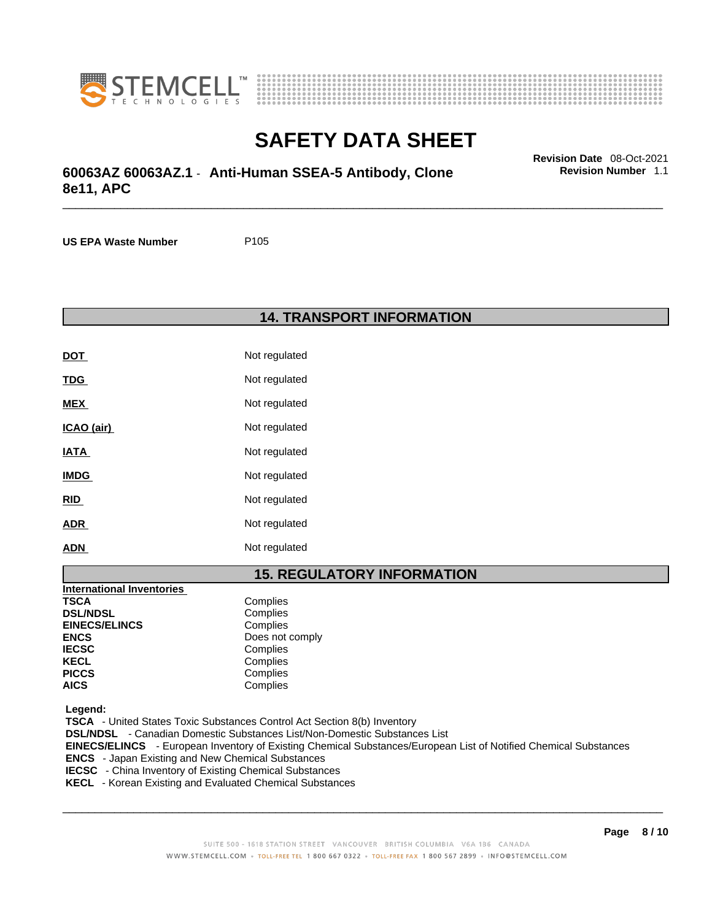



## \_\_\_\_\_\_\_\_\_\_\_\_\_\_\_\_\_\_\_\_\_\_\_\_\_\_\_\_\_\_\_\_\_\_\_\_\_\_\_\_\_\_\_\_\_\_\_\_\_\_\_\_\_\_\_\_\_\_\_\_\_\_\_\_\_\_\_\_\_\_\_\_\_\_\_\_\_\_\_\_\_\_\_\_\_\_\_\_\_\_\_\_\_ **Revision Date** 08-Oct-2021 **60063AZ 60063AZ.1** - **Anti-Human SSEA-5 Antibody, Clone 8e11, APC**

**Revision Number** 1.1

**US EPA Waste Number** P105

### **14. TRANSPORT INFORMATION**

| DOT         | Not regulated |
|-------------|---------------|
| TDG         | Not regulated |
| <b>MEX</b>  | Not regulated |
| ICAO (air)  | Not regulated |
| IATA        | Not regulated |
| <b>IMDG</b> | Not regulated |
| RID         | Not regulated |
| ADR         | Not regulated |
| ADN         | Not regulated |

### **15. REGULATORY INFORMATION**

| <b>International Inventories</b> |                 |
|----------------------------------|-----------------|
| <b>TSCA</b>                      | Complies        |
| <b>DSL/NDSL</b>                  | Complies        |
| <b>EINECS/ELINCS</b>             | Complies        |
| <b>ENCS</b>                      | Does not comply |
| <b>IECSC</b>                     | Complies        |
| <b>KECL</b>                      | Complies        |
| <b>PICCS</b>                     | Complies        |
| <b>AICS</b>                      | Complies        |

 **Legend:** 

 **TSCA** - United States Toxic Substances Control Act Section 8(b) Inventory  **DSL/NDSL** - Canadian Domestic Substances List/Non-Domestic Substances List

 **EINECS/ELINCS** - European Inventory of Existing Chemical Substances/European List of Notified Chemical Substances

 **ENCS** - Japan Existing and New Chemical Substances

 **IECSC** - China Inventory of Existing Chemical Substances

 **KECL** - Korean Existing and Evaluated Chemical Substances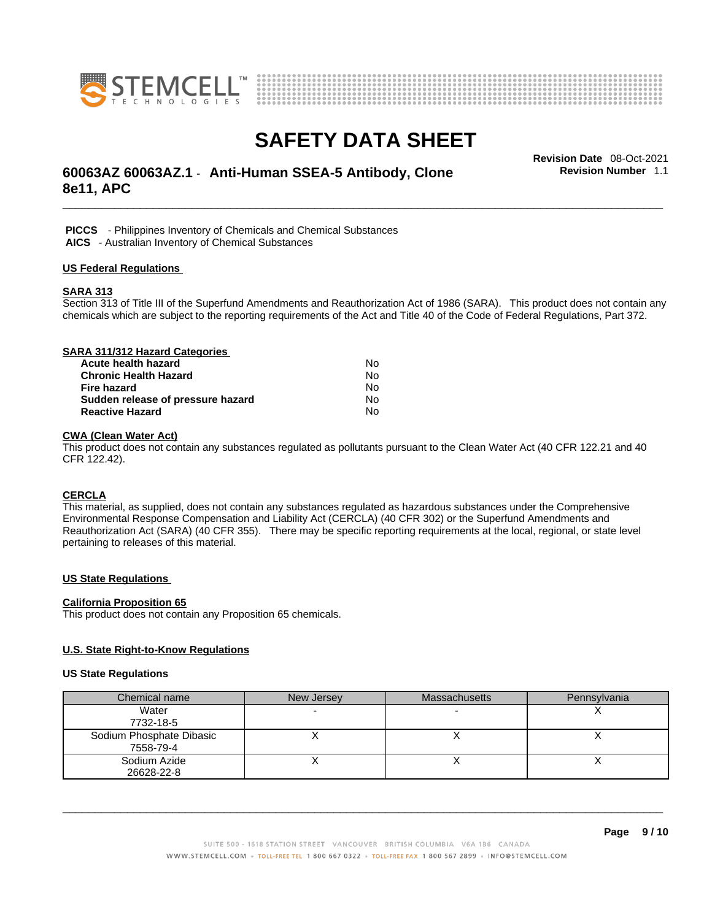



## \_\_\_\_\_\_\_\_\_\_\_\_\_\_\_\_\_\_\_\_\_\_\_\_\_\_\_\_\_\_\_\_\_\_\_\_\_\_\_\_\_\_\_\_\_\_\_\_\_\_\_\_\_\_\_\_\_\_\_\_\_\_\_\_\_\_\_\_\_\_\_\_\_\_\_\_\_\_\_\_\_\_\_\_\_\_\_\_\_\_\_\_\_ **Revision Date** 08-Oct-2021 **60063AZ 60063AZ.1** - **Anti-Human SSEA-5 Antibody, Clone 8e11, APC**

**Revision Number** 1.1

 **PICCS** - Philippines Inventory of Chemicals and Chemical Substances

 **AICS** - Australian Inventory of Chemical Substances

#### **US Federal Regulations**

### **SARA 313**

Section 313 of Title III of the Superfund Amendments and Reauthorization Act of 1986 (SARA). This product does not contain any chemicals which are subject to the reporting requirements of the Act and Title 40 of the Code of Federal Regulations, Part 372.

| SARA 311/312 Hazard Categories    |    |  |
|-----------------------------------|----|--|
| Acute health hazard               | N٥ |  |
| <b>Chronic Health Hazard</b>      | No |  |
| <b>Fire hazard</b>                | No |  |
| Sudden release of pressure hazard | No |  |
| <b>Reactive Hazard</b>            | No |  |

### **CWA (Clean WaterAct)**

This product does not contain any substances regulated as pollutants pursuant to the Clean Water Act (40 CFR 122.21 and 40 CFR 122.42).

### **CERCLA**

This material, as supplied, does not contain any substances regulated as hazardous substances under the Comprehensive Environmental Response Compensation and Liability Act (CERCLA) (40 CFR 302) or the Superfund Amendments and Reauthorization Act (SARA) (40 CFR 355). There may be specific reporting requirements at the local, regional, or state level pertaining to releases of this material.

### **US State Regulations**

#### **California Proposition 65**

This product does not contain any Proposition 65 chemicals.

### **U.S. State Right-to-Know Regulations**

#### **US State Regulations**

| Chemical name            | New Jersey | <b>Massachusetts</b> | Pennsylvania |
|--------------------------|------------|----------------------|--------------|
| Water                    |            |                      |              |
| 7732-18-5                |            |                      |              |
| Sodium Phosphate Dibasic |            |                      |              |
| 7558-79-4                |            |                      |              |
| Sodium Azide             |            |                      |              |
| 26628-22-8               |            |                      |              |